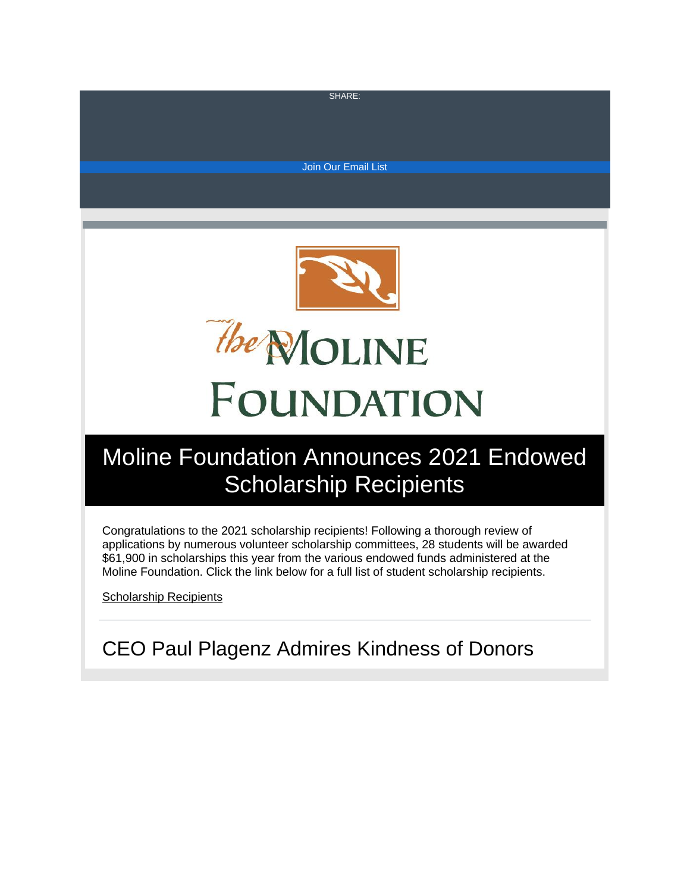S[HAR](https://s.rs6.net/t?e=NGOJ1HGmj4E&c=1&r=1)E:

[Join Our Email List](https://visitor.constantcontact.com/d.jsp?m=1129193840490&p=oi)



# Moline Foundation Announces 2021 Endowed Scholarship Recipients

Congratulations to the 2021 scholarship recipients! Following a thorough review of applications by numerous volunteer scholarship committees, 28 students will be awarded \$61,900 in scholarships this year from the various endowed funds administered at the Moline Foundation. Click the link below for a full list of student scholarship recipients.

[Scholarship Recipients](https://www.molinefoundation.org/recipients)

CEO Paul Plagenz Admires Kindness of Donors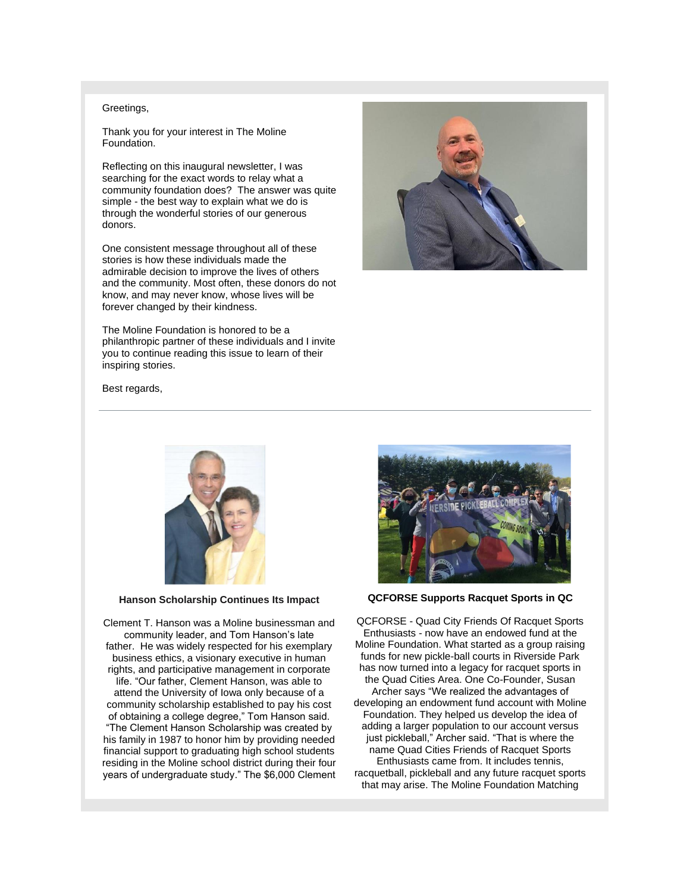#### Greetings,

Thank you for your interest in The Moline Foundation.

Reflecting on this inaugural newsletter, I was searching for the exact words to relay what a community foundation does? The answer was quite simple - the best way to explain what we do is through the wonderful stories of our generous donors.

One consistent message throughout all of these stories is how these individuals made the admirable decision to improve the lives of others and the community. Most often, these donors do not know, and may never know, whose lives will be forever changed by their kindness.

The Moline Foundation is honored to be a philanthropic partner of these individuals and I invite you to continue reading this issue to learn of their inspiring stories.



Best regards,



**Hanson Scholarship Continues Its Impact**

Clement T. Hanson was a Moline businessman and community leader, and Tom Hanson's late father. He was widely respected for his exemplary business ethics, a visionary executive in human rights, and participative management in corporate life. "Our father, Clement Hanson, was able to attend the University of Iowa only because of a community scholarship established to pay his cost of obtaining a college degree," Tom Hanson said. "The Clement Hanson Scholarship was created by his family in 1987 to honor him by providing needed financial support to graduating high school students residing in the Moline school district during their four years of undergraduate study." The \$6,000 Clement



**QCFORSE Supports Racquet Sports in QC**

QCFORSE - Quad City Friends Of Racquet Sports Enthusiasts - now have an endowed fund at the Moline Foundation. What started as a group raising funds for new pickle-ball courts in Riverside Park has now turned into a legacy for racquet sports in the Quad Cities Area. One Co-Founder, Susan Archer says "We realized the advantages of developing an endowment fund account with Moline Foundation. They helped us develop the idea of adding a larger population to our account versus just pickleball," Archer said. "That is where the name Quad Cities Friends of Racquet Sports Enthusiasts came from. It includes tennis, racquetball, pickleball and any future racquet sports that may arise. The Moline Foundation Matching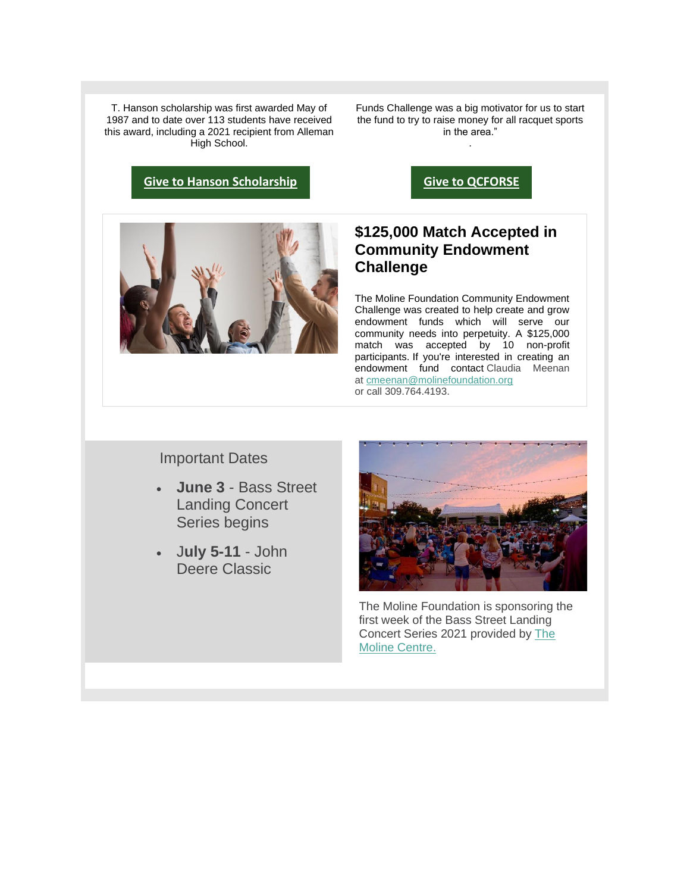T. Hanson scholarship was first awarded May of 1987 and to date over 113 students have received this award, including a 2021 recipient from Alleman High School.

**[Give to Hanson Scholarship](https://donorbox.org/clem-t-hanson-memorial-scholarship)**

Funds Challenge was a big motivator for us to start the fund to try to raise money for all racquet sports in the area."

.

**[Give to QCFORSE](https://donorbox.org/qcforce)**



# **\$125,000 Match Accepted in Community Endowment Challenge**

The Moline Foundation Community Endowment Challenge was created to help create and grow endowment funds which will serve our community needs into perpetuity. A \$125,000 match was accepted by 10 non-profit participants. If you're interested in creating an endowment fund contact Claudia Meenan at [cmeenan@molinefoundation.org](mailto:cmeenan@molinefoundation.org)  or call 309.764.4193.

Important Dates

- **June 3** Bass Street Landing Concert Series begins
- J**uly 5-11** John Deere Classic



The Moline Foundation is sponsoring the first week of the Bass Street Landing Concert Series 2021 provided by [The](https://www.facebook.com/moline.centre)  [Moline Centre.](https://www.facebook.com/moline.centre)